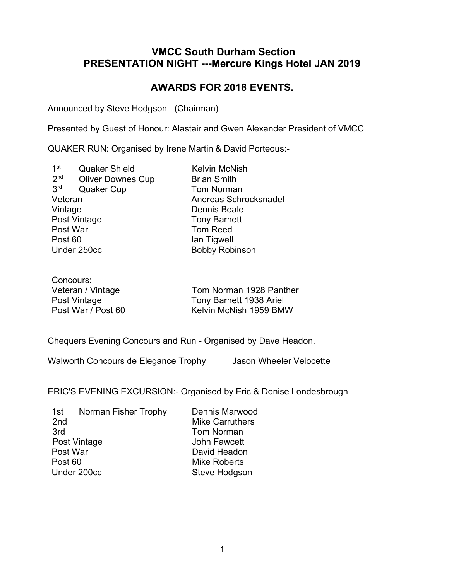## VMCC South Durham Section PRESENTATION NIGHT ---Mercure Kings Hotel JAN 2019

# AWARDS FOR 2018 EVENTS.

Announced by Steve Hodgson (Chairman)

Presented by Guest of Honour: Alastair and Gwen Alexander President of VMCC

QUAKER RUN: Organised by Irene Martin & David Porteous:-

 $1<sup>st</sup>$ Quaker Shield Kelvin McNish  $2<sup>nd</sup>$ **Oliver Downes Cup Brian Smith**  $3<sup>rd</sup>$ **Quaker Cup Tom Norman** Veteran Andreas Schrocksnadel Post Vintage Tony Barnett<br>Post War Tom Reed Post War **Tom Reed**<br>
Post 60 **Following** Section 1 and Tigwell Post 60 Ian Tigwell

Dennis Beale Bobby Robinson

| Concours:          |                         |
|--------------------|-------------------------|
| Veteran / Vintage  | Tom Norman 1928 Panther |
| Post Vintage       | Tony Barnett 1938 Ariel |
| Post War / Post 60 | Kelvin McNish 1959 BMW  |

Chequers Evening Concours and Run - Organised by Dave Headon.

Walworth Concours de Elegance Trophy Jason Wheeler Velocette

ERIC'S EVENING EXCURSION:- Organised by Eric & Denise Londesbrough

| 1st             | Norman Fisher Trophy | Dennis Marwood         |
|-----------------|----------------------|------------------------|
| 2 <sub>nd</sub> |                      | <b>Mike Carruthers</b> |
| 3rd             |                      | <b>Tom Norman</b>      |
| Post Vintage    |                      | John Fawcett           |
| Post War        |                      | David Headon           |
| Post 60         |                      | <b>Mike Roberts</b>    |
| Under 200cc     |                      | Steve Hodgson          |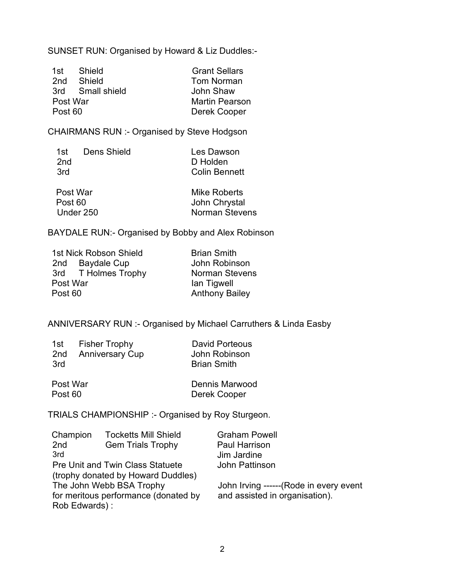SUNSET RUN: Organised by Howard & Liz Duddles:-

| 1st      | Shield           | <b>Grant Sellars</b>  |
|----------|------------------|-----------------------|
| 2nd      | – Shield         | Tom Norman            |
|          | 3rd Small shield | John Shaw             |
| Post War |                  | <b>Martin Pearson</b> |
| Post 60  |                  | Derek Cooper          |

CHAIRMANS RUN :- Organised by Steve Hodgson

| 1st | Dens Shield | Les Dawson    |
|-----|-------------|---------------|
| 2nd |             | D Holden      |
| 3rd |             | Colin Bennett |

| Post War  | Mike Roberts          |
|-----------|-----------------------|
| Post 60   | John Chrystal         |
| Under 250 | <b>Norman Stevens</b> |

BAYDALE RUN:- Organised by Bobby and Alex Robinson

| 1st Nick Robson Shield | <b>Brian Smith</b>    |
|------------------------|-----------------------|
| 2nd Baydale Cup        | John Robinson         |
| 3rd T Holmes Trophy    | <b>Norman Stevens</b> |
| Post War               | lan Tigwell           |
| Post 60                | <b>Anthony Bailey</b> |

ANNIVERSARY RUN :- Organised by Michael Carruthers & Linda Easby

| 1st<br>2nd<br>3rd | <b>Fisher Trophy</b><br><b>Anniversary Cup</b> | <b>David Porteous</b><br>John Robinson<br><b>Brian Smith</b> |
|-------------------|------------------------------------------------|--------------------------------------------------------------|
| Post War          |                                                | Dennis Marwood                                               |

Post 60 Derek Cooper

TRIALS CHAMPIONSHIP :- Organised by Roy Sturgeon.

| Champion                                | <b>Tocketts Mill Shield</b>        | <b>Graham Powell</b>                    |
|-----------------------------------------|------------------------------------|-----------------------------------------|
| 2 <sub>nd</sub>                         | <b>Gem Trials Trophy</b>           | <b>Paul Harrison</b>                    |
| 3rd                                     |                                    | Jim Jardine                             |
| <b>Pre Unit and Twin Class Statuete</b> |                                    | John Pattinson                          |
|                                         | (trophy donated by Howard Duddles) |                                         |
| The John Webb BSA Trophy                |                                    | John Irving ------ (Rode in every event |
| for meritous performance (donated by    |                                    | and assisted in organisation).          |
| Rob Edwards):                           |                                    |                                         |